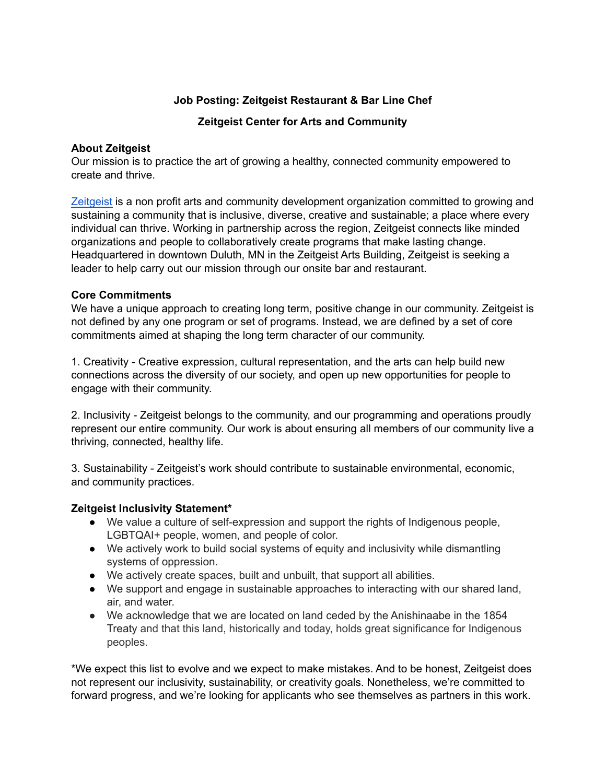# **Job Posting: Zeitgeist Restaurant & Bar Line Chef**

**Zeitgeist Center for Arts and Community**

#### **About Zeitgeist**

Our mission is to practice the art of growing a healthy, connected community empowered to create and thrive.

[Zeitgeist](https://zeitgeistarts.com/) is a non profit arts and community development organization committed to growing and sustaining a community that is inclusive, diverse, creative and sustainable; a place where every individual can thrive. Working in partnership across the region, Zeitgeist connects like minded organizations and people to collaboratively create programs that make lasting change. Headquartered in downtown Duluth, MN in the Zeitgeist Arts Building, Zeitgeist is seeking a leader to help carry out our mission through our onsite bar and restaurant.

#### **Core Commitments**

We have a unique approach to creating long term, positive change in our community. Zeitgeist is not defined by any one program or set of programs. Instead, we are defined by a set of core commitments aimed at shaping the long term character of our community.

1. Creativity - Creative expression, cultural representation, and the arts can help build new connections across the diversity of our society, and open up new opportunities for people to engage with their community.

2. Inclusivity - Zeitgeist belongs to the community, and our programming and operations proudly represent our entire community. Our work is about ensuring all members of our community live a thriving, connected, healthy life.

3. Sustainability - Zeitgeist's work should contribute to sustainable environmental, economic, and community practices.

# **Zeitgeist Inclusivity Statement\***

- We value a culture of self-expression and support the rights of Indigenous people, LGBTQAI+ people, women, and people of color.
- We actively work to build social systems of equity and inclusivity while dismantling systems of oppression.
- We actively create spaces, built and unbuilt, that support all abilities.
- We support and engage in sustainable approaches to interacting with our shared land, air, and water.
- We acknowledge that we are located on land ceded by the Anishinaabe in the 1854 Treaty and that this land, historically and today, holds great significance for Indigenous peoples.

\*We expect this list to evolve and we expect to make mistakes. And to be honest, Zeitgeist does not represent our inclusivity, sustainability, or creativity goals. Nonetheless, we're committed to forward progress, and we're looking for applicants who see themselves as partners in this work.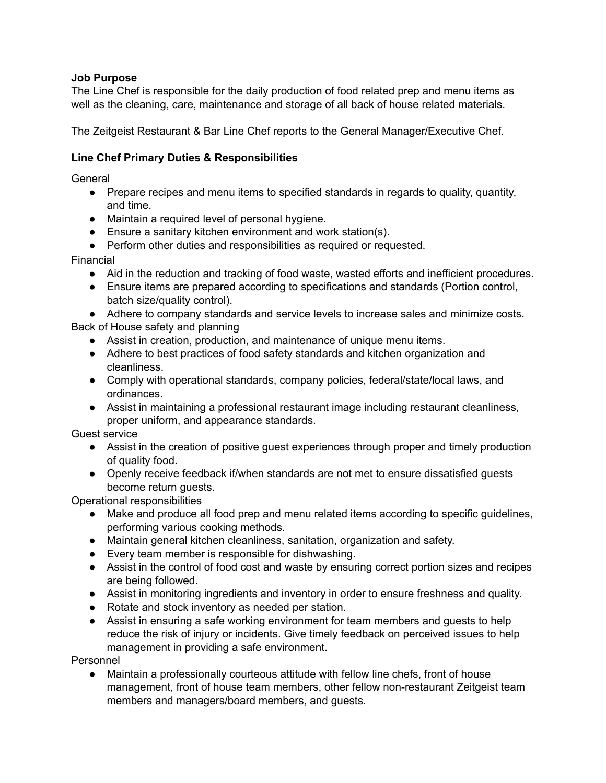#### **Job Purpose**

The Line Chef is responsible for the daily production of food related prep and menu items as well as the cleaning, care, maintenance and storage of all back of house related materials.

The Zeitgeist Restaurant & Bar Line Chef reports to the General Manager/Executive Chef.

#### **Line Chef Primary Duties & Responsibilities**

General

- Prepare recipes and menu items to specified standards in regards to quality, quantity, and time.
- Maintain a required level of personal hygiene.
- Ensure a sanitary kitchen environment and work station(s).
- Perform other duties and responsibilities as required or requested.

Financial

- Aid in the reduction and tracking of food waste, wasted efforts and inefficient procedures.
- Ensure items are prepared according to specifications and standards (Portion control, batch size/quality control).

● Adhere to company standards and service levels to increase sales and minimize costs. Back of House safety and planning

- Assist in creation, production, and maintenance of unique menu items.
- Adhere to best practices of food safety standards and kitchen organization and cleanliness.
- Comply with operational standards, company policies, federal/state/local laws, and ordinances.
- Assist in maintaining a professional restaurant image including restaurant cleanliness, proper uniform, and appearance standards.

Guest service

- Assist in the creation of positive quest experiences through proper and timely production of quality food.
- Openly receive feedback if/when standards are not met to ensure dissatisfied guests become return guests.

Operational responsibilities

- Make and produce all food prep and menu related items according to specific guidelines, performing various cooking methods.
- Maintain general kitchen cleanliness, sanitation, organization and safety.
- Every team member is responsible for dishwashing.
- Assist in the control of food cost and waste by ensuring correct portion sizes and recipes are being followed.
- Assist in monitoring ingredients and inventory in order to ensure freshness and quality.
- Rotate and stock inventory as needed per station.
- Assist in ensuring a safe working environment for team members and guests to help reduce the risk of injury or incidents. Give timely feedback on perceived issues to help management in providing a safe environment.

Personnel

Maintain a professionally courteous attitude with fellow line chefs, front of house management, front of house team members, other fellow non-restaurant Zeitgeist team members and managers/board members, and guests.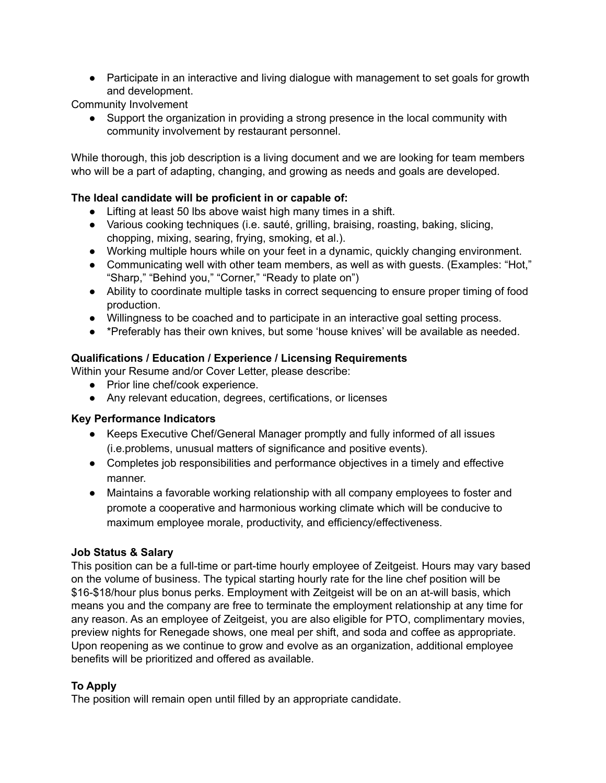• Participate in an interactive and living dialogue with management to set goals for growth and development.

Community Involvement

● Support the organization in providing a strong presence in the local community with community involvement by restaurant personnel.

While thorough, this job description is a living document and we are looking for team members who will be a part of adapting, changing, and growing as needs and goals are developed.

# **The Ideal candidate will be proficient in or capable of:**

- Lifting at least 50 lbs above waist high many times in a shift.
- Various cooking techniques (i.e. sauté, grilling, braising, roasting, baking, slicing, chopping, mixing, searing, frying, smoking, et al.).
- Working multiple hours while on your feet in a dynamic, quickly changing environment.
- Communicating well with other team members, as well as with guests. (Examples: "Hot," "Sharp," "Behind you," "Corner," "Ready to plate on")
- Ability to coordinate multiple tasks in correct sequencing to ensure proper timing of food production.
- Willingness to be coached and to participate in an interactive goal setting process.
- \*Preferably has their own knives, but some 'house knives' will be available as needed.

# **Qualifications / Education / Experience / Licensing Requirements**

Within your Resume and/or Cover Letter, please describe:

- Prior line chef/cook experience.
- Any relevant education, degrees, certifications, or licenses

# **Key Performance Indicators**

- Keeps Executive Chef/General Manager promptly and fully informed of all issues (i.e.problems, unusual matters of significance and positive events).
- Completes job responsibilities and performance objectives in a timely and effective manner.
- Maintains a favorable working relationship with all company employees to foster and promote a cooperative and harmonious working climate which will be conducive to maximum employee morale, productivity, and efficiency/effectiveness.

# **Job Status & Salary**

This position can be a full-time or part-time hourly employee of Zeitgeist. Hours may vary based on the volume of business. The typical starting hourly rate for the line chef position will be \$16-\$18/hour plus bonus perks. Employment with Zeitgeist will be on an at-will basis, which means you and the company are free to terminate the employment relationship at any time for any reason. As an employee of Zeitgeist, you are also eligible for PTO, complimentary movies, preview nights for Renegade shows, one meal per shift, and soda and coffee as appropriate. Upon reopening as we continue to grow and evolve as an organization, additional employee benefits will be prioritized and offered as available.

# **To Apply**

The position will remain open until filled by an appropriate candidate.